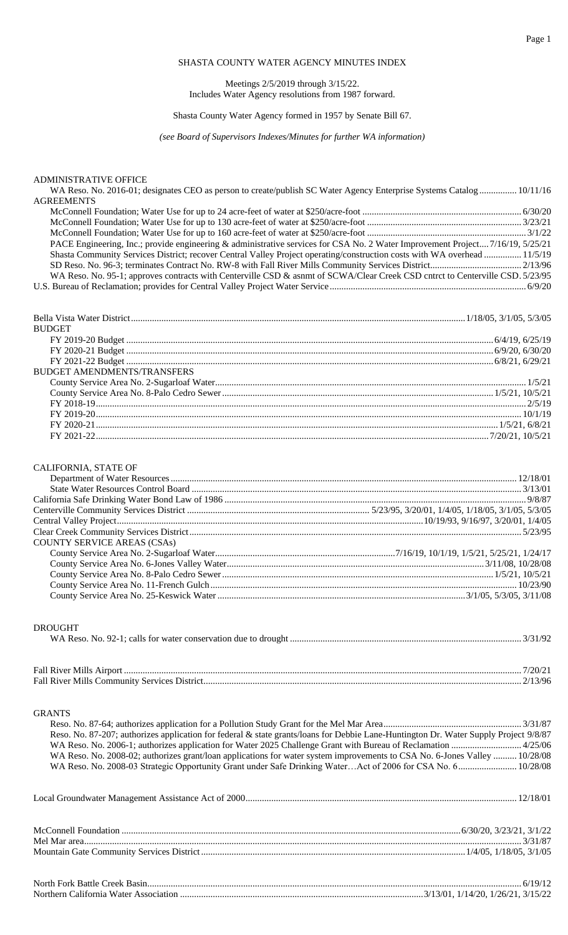# SHASTA COUNTY WATER AGENCY MINUTES INDEX

Meetings 2/5/2019 through 3/15/22. Includes Water Agency resolutions from 1987 forward.

## Shasta County Water Agency formed in 1957 by Senate Bill 67.

*(see Board of Supervisors Indexes/Minutes for further WA information)*

## ADMINISTRATIVE OFFICE

| WA Reso. No. 2016-01; designates CEO as person to create/publish SC Water Agency Enterprise Systems Catalog 10/11/16          |  |
|-------------------------------------------------------------------------------------------------------------------------------|--|
| <b>AGREEMENTS</b>                                                                                                             |  |
|                                                                                                                               |  |
|                                                                                                                               |  |
|                                                                                                                               |  |
| PACE Engineering, Inc.; provide engineering & administrative services for CSA No. 2 Water Improvement Project7/16/19, 5/25/21 |  |
| Shasta Community Services District; recover Central Valley Project operating/construction costs with WA overhead  11/5/19     |  |
|                                                                                                                               |  |
| WA Reso. No. 95-1; approves contracts with Centerville CSD & asnmt of SCWA/Clear Creek CSD cntrct to Centerville CSD. 5/23/95 |  |
|                                                                                                                               |  |

U.S. Bureau of Reclamation; provides for Central Valley Project Water Service .................................................................................... 6/9/20

| <b>BUDGET</b>                      |  |
|------------------------------------|--|
|                                    |  |
|                                    |  |
|                                    |  |
| <b>BUDGET AMENDMENTS/TRANSFERS</b> |  |
|                                    |  |
|                                    |  |
|                                    |  |
|                                    |  |
|                                    |  |
|                                    |  |
|                                    |  |

### CALIFORNIA, STATE OF

| <b>COUNTY SERVICE AREAS (CSAs)</b> |  |
|------------------------------------|--|
|                                    |  |
|                                    |  |
|                                    |  |
|                                    |  |
|                                    |  |

### DROUGHT

### GRANTS

| Reso. No. 87-207; authorizes application for federal & state grants/loans for Debbie Lane-Huntington Dr. Water Supply Project 9/8/87 |
|--------------------------------------------------------------------------------------------------------------------------------------|
|                                                                                                                                      |
| WA Reso. No. 2008-02; authorizes grant/loan applications for water system improvements to CSA No. 6-Jones Valley  10/28/08           |
| WA Reso. No. 2008-03 Strategic Opportunity Grant under Safe Drinking WaterAct of 2006 for CSA No. 6 10/28/08                         |
|                                                                                                                                      |
|                                                                                                                                      |
|                                                                                                                                      |
|                                                                                                                                      |

| North Fork Battle Creek                            |    |     |  |
|----------------------------------------------------|----|-----|--|
| Northern .<br>`alifornia<br>Water -<br>\ssociation | つい | 767 |  |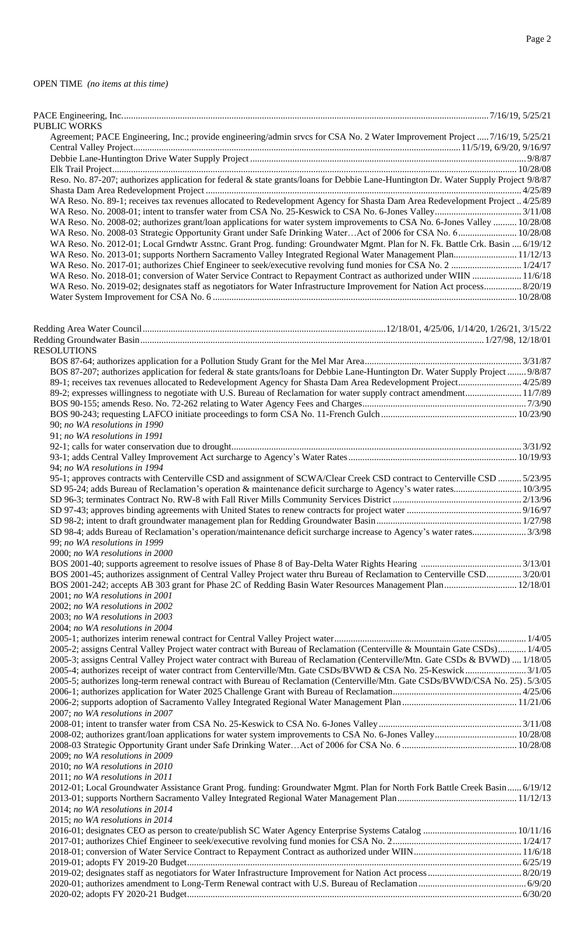| <b>PUBLIC WORKS</b><br>Agreement; PACE Engineering, Inc.; provide engineering/admin srvcs for CSA No. 2 Water Improvement Project  7/16/19, 5/25/21                                                                                           |  |
|-----------------------------------------------------------------------------------------------------------------------------------------------------------------------------------------------------------------------------------------------|--|
|                                                                                                                                                                                                                                               |  |
|                                                                                                                                                                                                                                               |  |
| Reso. No. 87-207; authorizes application for federal & state grants/loans for Debbie Lane-Huntington Dr. Water Supply Project 9/8/87                                                                                                          |  |
| WA Reso. No. 89-1; receives tax revenues allocated to Redevelopment Agency for Shasta Dam Area Redevelopment Project  4/25/89                                                                                                                 |  |
|                                                                                                                                                                                                                                               |  |
| WA Reso. No. 2008-02; authorizes grant/loan applications for water system improvements to CSA No. 6-Jones Valley  10/28/08<br>WA Reso. No. 2008-03 Strategic Opportunity Grant under Safe Drinking WaterAct of 2006 for CSA No. 6 10/28/08    |  |
| WA Reso. No. 2012-01; Local Grndwtr Asstnc. Grant Prog. funding: Groundwater Mgmt. Plan for N. Fk. Battle Crk. Basin  6/19/12                                                                                                                 |  |
| WA Reso. No. 2013-01; supports Northern Sacramento Valley Integrated Regional Water Management Plan 11/12/13                                                                                                                                  |  |
| WA Reso. No. 2018-01; conversion of Water Service Contract to Repayment Contract as authorized under WIIN  11/6/18                                                                                                                            |  |
| WA Reso. No. 2019-02; designates staff as negotiators for Water Infrastructure Improvement for Nation Act process 8/20/19                                                                                                                     |  |
|                                                                                                                                                                                                                                               |  |
|                                                                                                                                                                                                                                               |  |
|                                                                                                                                                                                                                                               |  |
| <b>RESOLUTIONS</b>                                                                                                                                                                                                                            |  |
|                                                                                                                                                                                                                                               |  |
| BOS 87-207; authorizes application for federal & state grants/loans for Debbie Lane-Huntington Dr. Water Supply Project  9/8/87                                                                                                               |  |
| 89-2; expresses willingness to negotiate with U.S. Bureau of Reclamation for water supply contract amendment 11/7/89                                                                                                                          |  |
|                                                                                                                                                                                                                                               |  |
| 90; no WA resolutions in 1990                                                                                                                                                                                                                 |  |
| 91; no WA resolutions in 1991                                                                                                                                                                                                                 |  |
|                                                                                                                                                                                                                                               |  |
| 94; no WA resolutions in 1994                                                                                                                                                                                                                 |  |
| 95-1; approves contracts with Centerville CSD and assignment of SCWA/Clear Creek CSD contract to Centerville CSD  5/23/95                                                                                                                     |  |
|                                                                                                                                                                                                                                               |  |
|                                                                                                                                                                                                                                               |  |
|                                                                                                                                                                                                                                               |  |
| 99; no WA resolutions in 1999                                                                                                                                                                                                                 |  |
| 2000; no WA resolutions in 2000                                                                                                                                                                                                               |  |
|                                                                                                                                                                                                                                               |  |
| BOS 2001-45; authorizes assignment of Central Valley Project water thru Bureau of Reclamation to Centerville CSD 3/20/01<br>BOS 2001-242; accepts AB 303 grant for Phase 2C of Redding Basin Water Resources Management Plan 12/18/01         |  |
| 2001; no WA resolutions in 2001                                                                                                                                                                                                               |  |
| 2002; no WA resolutions in 2002                                                                                                                                                                                                               |  |
| 2003; no WA resolutions in 2003<br>2004; no WA resolutions in 2004                                                                                                                                                                            |  |
|                                                                                                                                                                                                                                               |  |
| 2005-2; assigns Central Valley Project water contract with Bureau of Reclamation (Centerville & Mountain Gate CSDs) 1/4/05                                                                                                                    |  |
| 2005-3; assigns Central Valley Project water contract with Bureau of Reclamation (Centerville/Mtn. Gate CSDs & BVWD)  1/18/05<br>2005-4; authorizes receipt of water contract from Centerville/Mtn. Gate CSDs/BVWD & CSA No. 25-Keswick3/1/05 |  |
| 2005-5; authorizes long-term renewal contract with Bureau of Reclamation (Centerville/Mtn. Gate CSDs/BVWD/CSA No. 25). 5/3/05                                                                                                                 |  |
|                                                                                                                                                                                                                                               |  |
| 2007; no WA resolutions in 2007                                                                                                                                                                                                               |  |
|                                                                                                                                                                                                                                               |  |
|                                                                                                                                                                                                                                               |  |
| 2009; no WA resolutions in 2009                                                                                                                                                                                                               |  |
| 2010; no WA resolutions in 2010                                                                                                                                                                                                               |  |
| 2011; no WA resolutions in 2011<br>2012-01; Local Groundwater Assistance Grant Prog. funding: Groundwater Mgmt. Plan for North Fork Battle Creek Basin 6/19/12                                                                                |  |
|                                                                                                                                                                                                                                               |  |
| 2014; no WA resolutions in 2014                                                                                                                                                                                                               |  |
| 2015; no WA resolutions in 2014                                                                                                                                                                                                               |  |
|                                                                                                                                                                                                                                               |  |
|                                                                                                                                                                                                                                               |  |
|                                                                                                                                                                                                                                               |  |
|                                                                                                                                                                                                                                               |  |
|                                                                                                                                                                                                                                               |  |